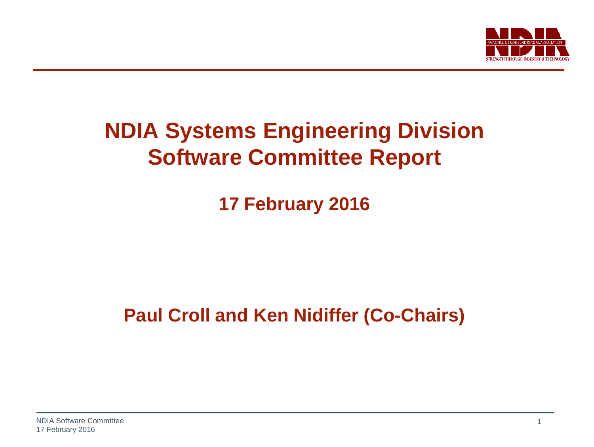

### **NDIA Systems Engineering Division Software Committee Report**

**17 February 2016**

**Paul Croll and Ken Nidiffer (Co-Chairs)**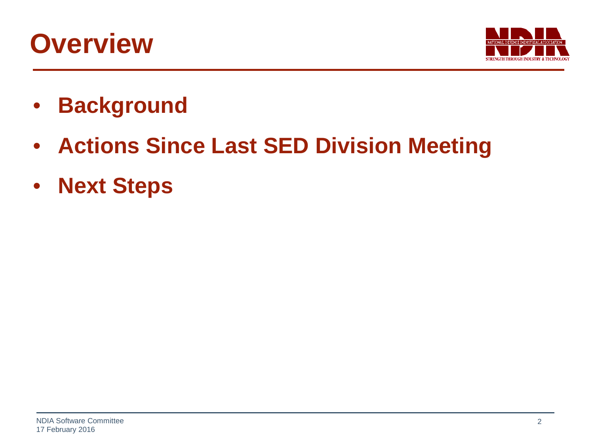## **Overview**



- **Background**
- **Actions Since Last SED Division Meeting**
- **Next Steps**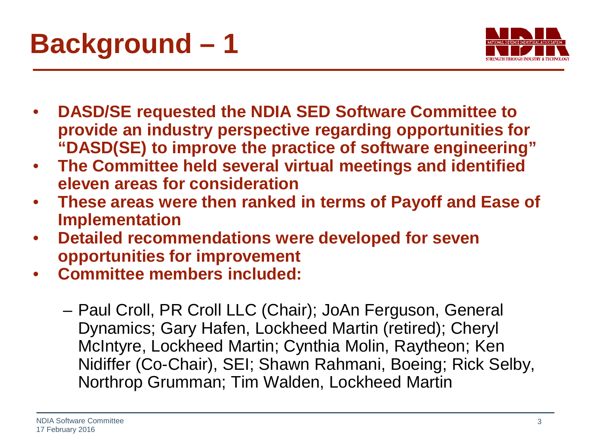



- **DASD/SE requested the NDIA SED Software Committee to provide an industry perspective regarding opportunities for "DASD(SE) to improve the practice of software engineering"**
- **The Committee held several virtual meetings and identified eleven areas for consideration**
- **These areas were then ranked in terms of Payoff and Ease of Implementation**
- **Detailed recommendations were developed for seven opportunities for improvement**
- **Committee members included:**
	- Paul Croll, PR Croll LLC (Chair); JoAn Ferguson, General Dynamics; Gary Hafen, Lockheed Martin (retired); Cheryl McIntyre, Lockheed Martin; Cynthia Molin, Raytheon; Ken Nidiffer (Co-Chair), SEI; Shawn Rahmani, Boeing; Rick Selby, Northrop Grumman; Tim Walden, Lockheed Martin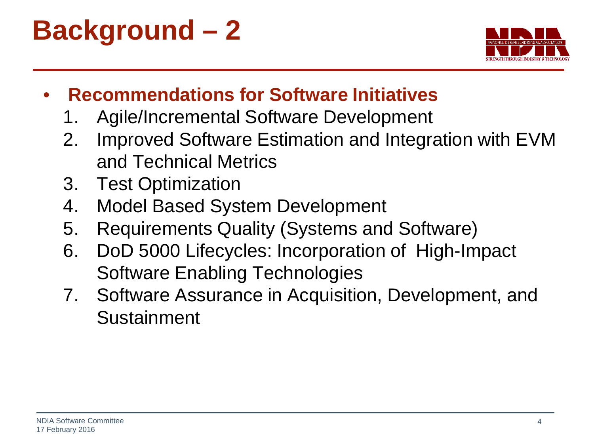# **Background – 2**



- **Recommendations for Software Initiatives**
	- 1. Agile/Incremental Software Development
	- 2. Improved Software Estimation and Integration with EVM and Technical Metrics
	- 3. Test Optimization
	- 4. Model Based System Development
	- 5. Requirements Quality (Systems and Software)
	- 6. DoD 5000 Lifecycles: Incorporation of High-Impact Software Enabling Technologies
	- 7. Software Assurance in Acquisition, Development, and Sustainment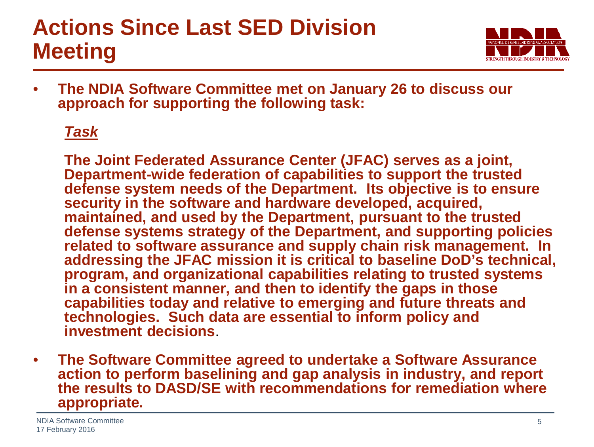## **Actions Since Last SED Division Meeting**



• **The NDIA Software Committee met on January 26 to discuss our approach for supporting the following task:**

#### *Task*

**The Joint Federated Assurance Center (JFAC) serves as a joint, Department-wide federation of capabilities to support the trusted defense system needs of the Department. Its objective is to ensure security in the software and hardware developed, acquired, maintained, and used by the Department, pursuant to the trusted defense systems strategy of the Department, and supporting policies related to software assurance and supply chain risk management. In addressing the JFAC mission it is critical to baseline DoD's technical, program, and organizational capabilities relating to trusted systems in a consistent manner, and then to identify the gaps in those capabilities today and relative to emerging and future threats and technologies. Such data are essential to inform policy and investment decisions**.

• **The Software Committee agreed to undertake a Software Assurance action to perform baselining and gap analysis in industry, and report the results to DASD/SE with recommendations for remediation where appropriate***.*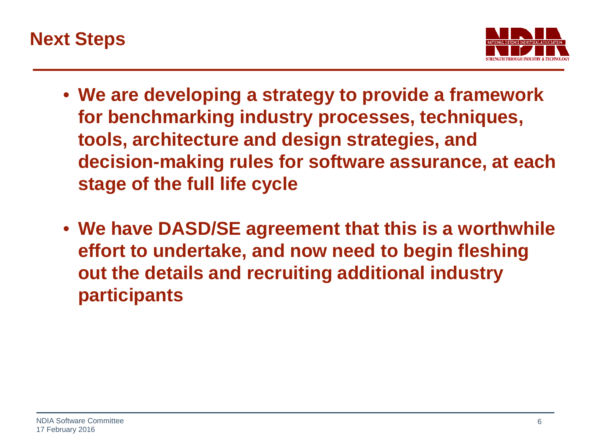



- **We are developing a strategy to provide a framework for benchmarking industry processes, techniques, tools, architecture and design strategies, and decision-making rules for software assurance, at each stage of the full life cycle**
- **We have DASD/SE agreement that this is a worthwhile effort to undertake, and now need to begin fleshing out the details and recruiting additional industry participants**